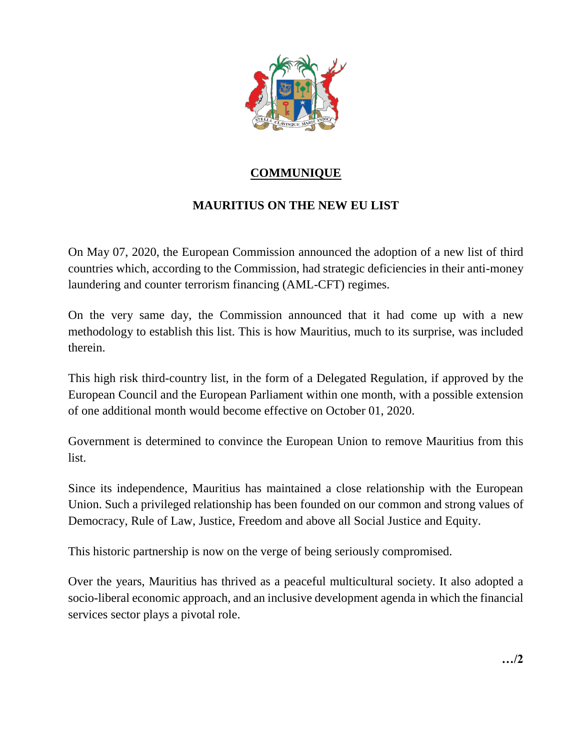

## **COMMUNIQUE**

## **MAURITIUS ON THE NEW EU LIST**

On May 07, 2020, the European Commission announced the adoption of a new list of third countries which, according to the Commission, had strategic deficiencies in their anti-money laundering and counter terrorism financing (AML-CFT) regimes.

On the very same day, the Commission announced that it had come up with a new methodology to establish this list. This is how Mauritius, much to its surprise, was included therein.

This high risk third-country list, in the form of a Delegated Regulation, if approved by the European Council and the European Parliament within one month, with a possible extension of one additional month would become effective on October 01, 2020.

Government is determined to convince the European Union to remove Mauritius from this list.

Since its independence, Mauritius has maintained a close relationship with the European Union. Such a privileged relationship has been founded on our common and strong values of Democracy, Rule of Law, Justice, Freedom and above all Social Justice and Equity.

This historic partnership is now on the verge of being seriously compromised.

Over the years, Mauritius has thrived as a peaceful multicultural society. It also adopted a socio-liberal economic approach, and an inclusive development agenda in which the financial services sector plays a pivotal role.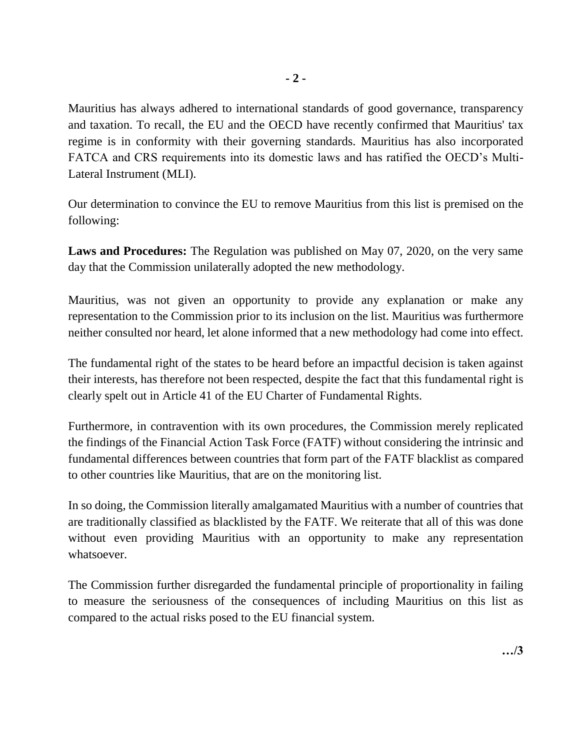Mauritius has always adhered to international standards of good governance, transparency and taxation. To recall, the EU and the OECD have recently confirmed that Mauritius' tax regime is in conformity with their governing standards. Mauritius has also incorporated FATCA and CRS requirements into its domestic laws and has ratified the OECD's Multi-Lateral Instrument (MLI).

Our determination to convince the EU to remove Mauritius from this list is premised on the following:

**Laws and Procedures:** The Regulation was published on May 07, 2020, on the very same day that the Commission unilaterally adopted the new methodology.

Mauritius, was not given an opportunity to provide any explanation or make any representation to the Commission prior to its inclusion on the list. Mauritius was furthermore neither consulted nor heard, let alone informed that a new methodology had come into effect.

The fundamental right of the states to be heard before an impactful decision is taken against their interests, has therefore not been respected, despite the fact that this fundamental right is clearly spelt out in Article 41 of the EU Charter of Fundamental Rights.

Furthermore, in contravention with its own procedures, the Commission merely replicated the findings of the Financial Action Task Force (FATF) without considering the intrinsic and fundamental differences between countries that form part of the FATF blacklist as compared to other countries like Mauritius, that are on the monitoring list.

In so doing, the Commission literally amalgamated Mauritius with a number of countries that are traditionally classified as blacklisted by the FATF. We reiterate that all of this was done without even providing Mauritius with an opportunity to make any representation whatsoever.

The Commission further disregarded the fundamental principle of proportionality in failing to measure the seriousness of the consequences of including Mauritius on this list as compared to the actual risks posed to the EU financial system.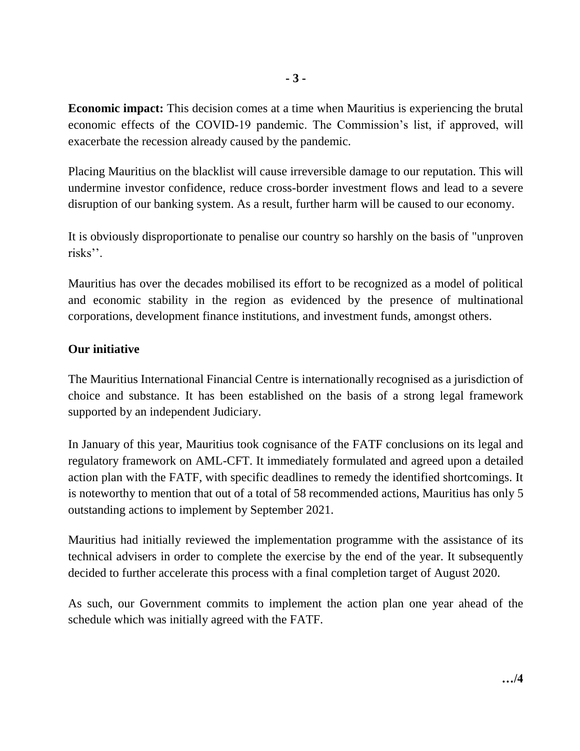**Economic impact:** This decision comes at a time when Mauritius is experiencing the brutal economic effects of the COVID-19 pandemic. The Commission's list, if approved, will exacerbate the recession already caused by the pandemic.

Placing Mauritius on the blacklist will cause irreversible damage to our reputation. This will undermine investor confidence, reduce cross-border investment flows and lead to a severe disruption of our banking system. As a result, further harm will be caused to our economy.

It is obviously disproportionate to penalise our country so harshly on the basis of "unproven risks''.

Mauritius has over the decades mobilised its effort to be recognized as a model of political and economic stability in the region as evidenced by the presence of multinational corporations, development finance institutions, and investment funds, amongst others.

## **Our initiative**

The Mauritius International Financial Centre is internationally recognised as a jurisdiction of choice and substance. It has been established on the basis of a strong legal framework supported by an independent Judiciary.

In January of this year, Mauritius took cognisance of the FATF conclusions on its legal and regulatory framework on AML-CFT. It immediately formulated and agreed upon a detailed action plan with the FATF, with specific deadlines to remedy the identified shortcomings. It is noteworthy to mention that out of a total of 58 recommended actions, Mauritius has only 5 outstanding actions to implement by September 2021.

Mauritius had initially reviewed the implementation programme with the assistance of its technical advisers in order to complete the exercise by the end of the year. It subsequently decided to further accelerate this process with a final completion target of August 2020.

As such, our Government commits to implement the action plan one year ahead of the schedule which was initially agreed with the FATF.